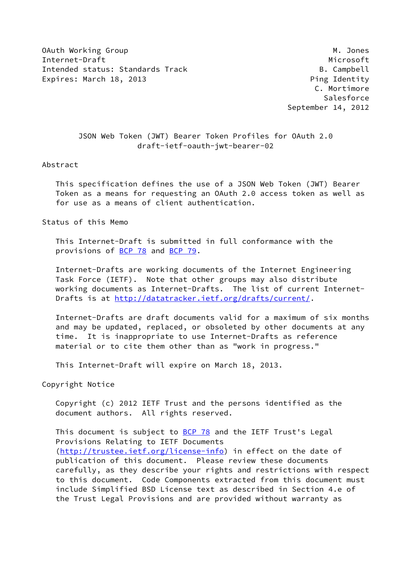OAuth Working Group Manuscript Communication of the Manuscript Communication of Manuscript Communication of Ma Internet-Draft Microsoft Microsoft Microsoft Microsoft Microsoft Microsoft Microsoft Microsoft Microsoft Microsoft Microsoft Microsoft Microsoft Microsoft Microsoft Microsoft Microsoft Microsoft Microsoft Microsoft Microso Intended status: Standards Track B. Campbell Expires: March 18, 2013 **Ping Identity** 

 C. Mortimore Salesforce September 14, 2012

 JSON Web Token (JWT) Bearer Token Profiles for OAuth 2.0 draft-ietf-oauth-jwt-bearer-02

#### Abstract

 This specification defines the use of a JSON Web Token (JWT) Bearer Token as a means for requesting an OAuth 2.0 access token as well as for use as a means of client authentication.

Status of this Memo

 This Internet-Draft is submitted in full conformance with the provisions of [BCP 78](https://datatracker.ietf.org/doc/pdf/bcp78) and [BCP 79](https://datatracker.ietf.org/doc/pdf/bcp79).

 Internet-Drafts are working documents of the Internet Engineering Task Force (IETF). Note that other groups may also distribute working documents as Internet-Drafts. The list of current Internet Drafts is at<http://datatracker.ietf.org/drafts/current/>.

 Internet-Drafts are draft documents valid for a maximum of six months and may be updated, replaced, or obsoleted by other documents at any time. It is inappropriate to use Internet-Drafts as reference material or to cite them other than as "work in progress."

This Internet-Draft will expire on March 18, 2013.

Copyright Notice

 Copyright (c) 2012 IETF Trust and the persons identified as the document authors. All rights reserved.

This document is subject to **[BCP 78](https://datatracker.ietf.org/doc/pdf/bcp78)** and the IETF Trust's Legal Provisions Relating to IETF Documents [\(http://trustee.ietf.org/license-info](http://trustee.ietf.org/license-info)) in effect on the date of publication of this document. Please review these documents carefully, as they describe your rights and restrictions with respect to this document. Code Components extracted from this document must include Simplified BSD License text as described in Section 4.e of the Trust Legal Provisions and are provided without warranty as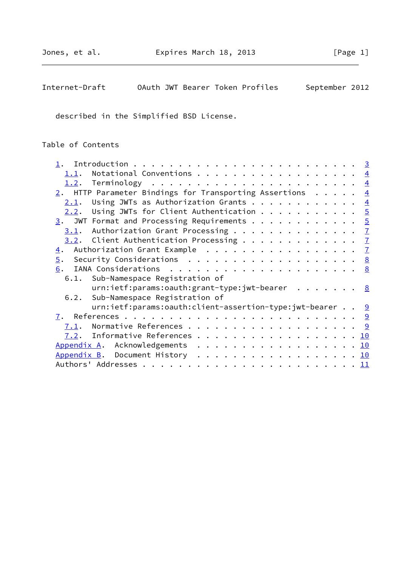| OAuth JWT Bearer Token Profiles<br>Internet-Draft | September 2012 |
|---------------------------------------------------|----------------|
|---------------------------------------------------|----------------|

described in the Simplified BSD License.

# Table of Contents

| 1.1.             | Notational Conventions $\frac{4}{5}$                        |  |  |  |  |
|------------------|-------------------------------------------------------------|--|--|--|--|
| 1.2.             |                                                             |  |  |  |  |
|                  | 2. HTTP Parameter Bindings for Transporting Assertions $4$  |  |  |  |  |
| 2.1.             | Using JWTs as Authorization Grants $\frac{4}{5}$            |  |  |  |  |
| 2.2.             | Using JWTs for Client Authentication $\frac{5}{2}$          |  |  |  |  |
|                  | $\frac{3}{2}$ . JWT Format and Processing Requirements 5    |  |  |  |  |
|                  | $3.1$ . Authorization Grant Processing 7                    |  |  |  |  |
|                  | <u>3.2</u> . Client Authentication Processing $\frac{7}{2}$ |  |  |  |  |
| $\overline{4}$ . |                                                             |  |  |  |  |
|                  | 5. Security Considerations 8                                |  |  |  |  |
| 6.               |                                                             |  |  |  |  |
|                  | 6.1. Sub-Namespace Registration of                          |  |  |  |  |
|                  | urn:ietf:params:oauth:grant-type:jwt-bearer 8               |  |  |  |  |
|                  | 6.2. Sub-Namespace Registration of                          |  |  |  |  |
|                  | urn:ietf:params:oauth:client-assertion-type:jwt-bearer 9    |  |  |  |  |
|                  |                                                             |  |  |  |  |
| 7.1.             |                                                             |  |  |  |  |
|                  | $\frac{7.2}{10}$ . Informative References 10                |  |  |  |  |
|                  | Appendix A. Acknowledgements 10                             |  |  |  |  |
|                  | Appendix B. Document History 10                             |  |  |  |  |
|                  |                                                             |  |  |  |  |
|                  |                                                             |  |  |  |  |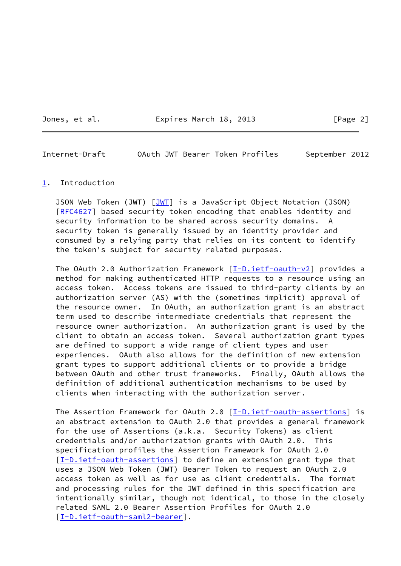Jones, et al. Expires March 18, 2013 [Page 2]

<span id="page-2-1"></span>Internet-Draft OAuth JWT Bearer Token Profiles September 2012

### <span id="page-2-0"></span>[1](#page-2-0). Introduction

JSON Web Token (JWT) [\[JWT](#page-10-4)] is a JavaScript Object Notation (JSON) [\[RFC4627](https://datatracker.ietf.org/doc/pdf/rfc4627)] based security token encoding that enables identity and security information to be shared across security domains. A security token is generally issued by an identity provider and consumed by a relying party that relies on its content to identify the token's subject for security related purposes.

The OAuth 2.0 Authorization Framework  $[I-D.iet f- oauth-v2]$  provides a method for making authenticated HTTP requests to a resource using an access token. Access tokens are issued to third-party clients by an authorization server (AS) with the (sometimes implicit) approval of the resource owner. In OAuth, an authorization grant is an abstract term used to describe intermediate credentials that represent the resource owner authorization. An authorization grant is used by the client to obtain an access token. Several authorization grant types are defined to support a wide range of client types and user experiences. OAuth also allows for the definition of new extension grant types to support additional clients or to provide a bridge between OAuth and other trust frameworks. Finally, OAuth allows the definition of additional authentication mechanisms to be used by clients when interacting with the authorization server.

The Assertion Framework for OAuth 2.0 [[I-D.ietf-oauth-assertions\]](#page-9-4) is an abstract extension to OAuth 2.0 that provides a general framework for the use of Assertions (a.k.a. Security Tokens) as client credentials and/or authorization grants with OAuth 2.0. This specification profiles the Assertion Framework for OAuth 2.0 [\[I-D.ietf-oauth-assertions](#page-9-4)] to define an extension grant type that uses a JSON Web Token (JWT) Bearer Token to request an OAuth 2.0 access token as well as for use as client credentials. The format and processing rules for the JWT defined in this specification are intentionally similar, though not identical, to those in the closely related SAML 2.0 Bearer Assertion Profiles for OAuth 2.0 [\[I-D.ietf-oauth-saml2-bearer](#page-10-5)].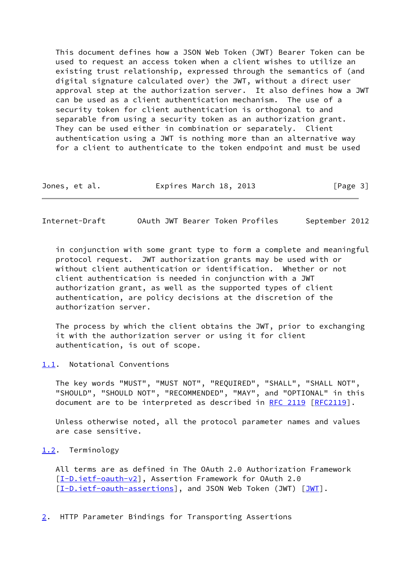This document defines how a JSON Web Token (JWT) Bearer Token can be used to request an access token when a client wishes to utilize an existing trust relationship, expressed through the semantics of (and digital signature calculated over) the JWT, without a direct user approval step at the authorization server. It also defines how a JWT can be used as a client authentication mechanism. The use of a security token for client authentication is orthogonal to and separable from using a security token as an authorization grant. They can be used either in combination or separately. Client authentication using a JWT is nothing more than an alternative way for a client to authenticate to the token endpoint and must be used

| Jones, et al. | Expires March 18, 2013 | [Page 3] |
|---------------|------------------------|----------|
|---------------|------------------------|----------|

<span id="page-3-1"></span>Internet-Draft OAuth JWT Bearer Token Profiles September 2012

 in conjunction with some grant type to form a complete and meaningful protocol request. JWT authorization grants may be used with or without client authentication or identification. Whether or not client authentication is needed in conjunction with a JWT authorization grant, as well as the supported types of client authentication, are policy decisions at the discretion of the authorization server.

 The process by which the client obtains the JWT, prior to exchanging it with the authorization server or using it for client authentication, is out of scope.

<span id="page-3-0"></span>[1.1](#page-3-0). Notational Conventions

 The key words "MUST", "MUST NOT", "REQUIRED", "SHALL", "SHALL NOT", "SHOULD", "SHOULD NOT", "RECOMMENDED", "MAY", and "OPTIONAL" in this document are to be interpreted as described in [RFC 2119 \[RFC2119](https://datatracker.ietf.org/doc/pdf/rfc2119)].

 Unless otherwise noted, all the protocol parameter names and values are case sensitive.

### <span id="page-3-2"></span>[1.2](#page-3-2). Terminology

 All terms are as defined in The OAuth 2.0 Authorization Framework [\[I-D.ietf-oauth-v2](#page-9-3)], Assertion Framework for OAuth 2.0 [\[I-D.ietf-oauth-assertions](#page-9-4)], and JSON Web Token ([JWT](#page-10-4)) [JWT].

<span id="page-3-3"></span>[2](#page-3-3). HTTP Parameter Bindings for Transporting Assertions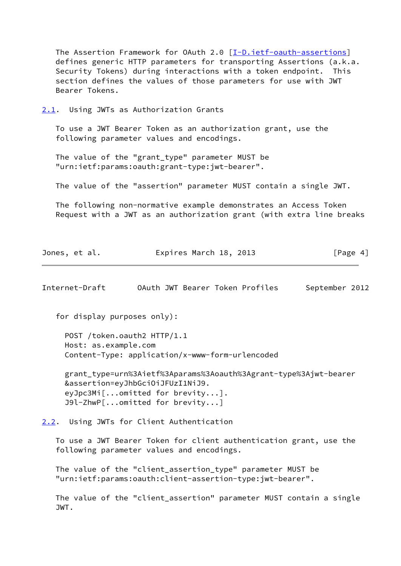The Assertion Framework for OAuth 2.0 [[I-D.ietf-oauth-assertions\]](#page-9-4) defines generic HTTP parameters for transporting Assertions (a.k.a. Security Tokens) during interactions with a token endpoint. This section defines the values of those parameters for use with JWT Bearer Tokens.

<span id="page-4-0"></span>[2.1](#page-4-0). Using JWTs as Authorization Grants

 To use a JWT Bearer Token as an authorization grant, use the following parameter values and encodings.

 The value of the "grant\_type" parameter MUST be "urn:ietf:params:oauth:grant-type:jwt-bearer".

The value of the "assertion" parameter MUST contain a single JWT.

 The following non-normative example demonstrates an Access Token Request with a JWT as an authorization grant (with extra line breaks

| Jones, et al. | Expires March 18, 2013 | [Page 4] |
|---------------|------------------------|----------|
|---------------|------------------------|----------|

<span id="page-4-2"></span>Internet-Draft OAuth JWT Bearer Token Profiles September 2012

for display purposes only):

 POST /token.oauth2 HTTP/1.1 Host: as.example.com Content-Type: application/x-www-form-urlencoded

 grant\_type=urn%3Aietf%3Aparams%3Aoauth%3Agrant-type%3Ajwt-bearer &assertion=eyJhbGciOiJFUzI1NiJ9. eyJpc3Mi[...omitted for brevity...]. J9l-ZhwP[...omitted for brevity...]

<span id="page-4-1"></span>[2.2](#page-4-1). Using JWTs for Client Authentication

 To use a JWT Bearer Token for client authentication grant, use the following parameter values and encodings.

The value of the "client assertion type" parameter MUST be "urn:ietf:params:oauth:client-assertion-type:jwt-bearer".

 The value of the "client\_assertion" parameter MUST contain a single JWT.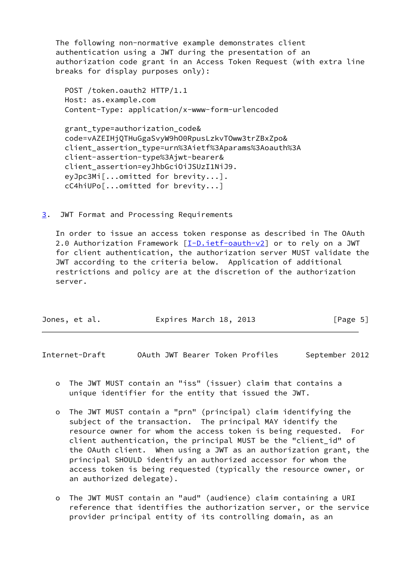The following non-normative example demonstrates client authentication using a JWT during the presentation of an authorization code grant in an Access Token Request (with extra line breaks for display purposes only):

 POST /token.oauth2 HTTP/1.1 Host: as.example.com Content-Type: application/x-www-form-urlencoded

 grant\_type=authorization\_code& code=vAZEIHjQTHuGgaSvyW9hO0RpusLzkvTOww3trZBxZpo& client\_assertion\_type=urn%3Aietf%3Aparams%3Aoauth%3A client-assertion-type%3Ajwt-bearer& client\_assertion=eyJhbGciOiJSUzI1NiJ9. eyJpc3Mi[...omitted for brevity...]. cC4hiUPo[...omitted for brevity...]

<span id="page-5-0"></span>[3](#page-5-0). JWT Format and Processing Requirements

 In order to issue an access token response as described in The OAuth 2.0 Authorization Framework [\[I-D.ietf-oauth-v2](#page-9-3)] or to rely on a JWT for client authentication, the authorization server MUST validate the JWT according to the criteria below. Application of additional restrictions and policy are at the discretion of the authorization server.

| Expires March 18, 2013<br>Jones, et al. | [Page 5] |
|-----------------------------------------|----------|
|-----------------------------------------|----------|

Internet-Draft OAuth JWT Bearer Token Profiles September 2012

- o The JWT MUST contain an "iss" (issuer) claim that contains a unique identifier for the entity that issued the JWT.
- o The JWT MUST contain a "prn" (principal) claim identifying the subject of the transaction. The principal MAY identify the resource owner for whom the access token is being requested. For client authentication, the principal MUST be the "client\_id" of the OAuth client. When using a JWT as an authorization grant, the principal SHOULD identify an authorized accessor for whom the access token is being requested (typically the resource owner, or an authorized delegate).
- o The JWT MUST contain an "aud" (audience) claim containing a URI reference that identifies the authorization server, or the service provider principal entity of its controlling domain, as an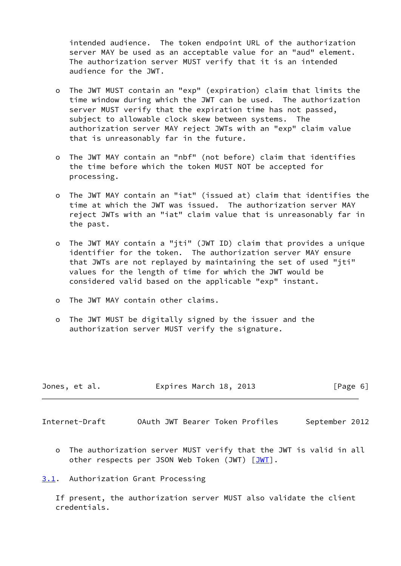intended audience. The token endpoint URL of the authorization server MAY be used as an acceptable value for an "aud" element. The authorization server MUST verify that it is an intended audience for the JWT.

- o The JWT MUST contain an "exp" (expiration) claim that limits the time window during which the JWT can be used. The authorization server MUST verify that the expiration time has not passed, subject to allowable clock skew between systems. The authorization server MAY reject JWTs with an "exp" claim value that is unreasonably far in the future.
- o The JWT MAY contain an "nbf" (not before) claim that identifies the time before which the token MUST NOT be accepted for processing.
- o The JWT MAY contain an "iat" (issued at) claim that identifies the time at which the JWT was issued. The authorization server MAY reject JWTs with an "iat" claim value that is unreasonably far in the past.
- o The JWT MAY contain a "jti" (JWT ID) claim that provides a unique identifier for the token. The authorization server MAY ensure that JWTs are not replayed by maintaining the set of used "jti" values for the length of time for which the JWT would be considered valid based on the applicable "exp" instant.
- o The JWT MAY contain other claims.
- o The JWT MUST be digitally signed by the issuer and the authorization server MUST verify the signature.

| Jones, et al. | Expires March 18, 2013 | [Page 6] |
|---------------|------------------------|----------|
|               |                        |          |

<span id="page-6-1"></span>Internet-Draft OAuth JWT Bearer Token Profiles September 2012

 o The authorization server MUST verify that the JWT is valid in all other respects per JSON Web Token (JWT) [[JWT\]](#page-10-4).

## <span id="page-6-0"></span>[3.1](#page-6-0). Authorization Grant Processing

 If present, the authorization server MUST also validate the client credentials.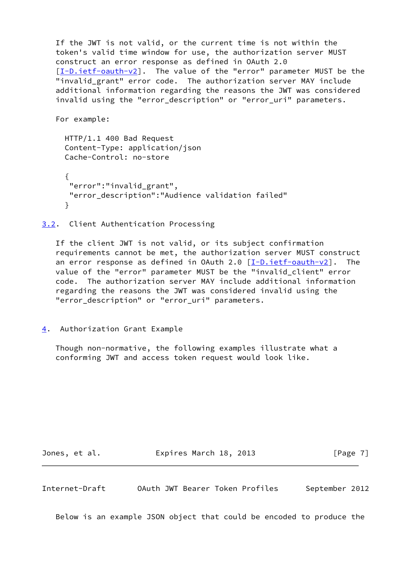If the JWT is not valid, or the current time is not within the token's valid time window for use, the authorization server MUST construct an error response as defined in OAuth 2.0 [\[I-D.ietf-oauth-v2](#page-9-3)]. The value of the "error" parameter MUST be the "invalid grant" error code. The authorization server MAY include additional information regarding the reasons the JWT was considered invalid using the "error description" or "error uri" parameters.

For example:

```
 HTTP/1.1 400 Bad Request
     Content-Type: application/json
     Cache-Control: no-store
\{ "error":"invalid_grant",
      "error_description":"Audience validation failed"
      }
```
<span id="page-7-0"></span>[3.2](#page-7-0). Client Authentication Processing

 If the client JWT is not valid, or its subject confirmation requirements cannot be met, the authorization server MUST construct an error response as defined in OAuth 2.0  $[I-D.iett-eault-v2]$ . The value of the "error" parameter MUST be the "invalid\_client" error code. The authorization server MAY include additional information regarding the reasons the JWT was considered invalid using the "error\_description" or "error\_uri" parameters.

<span id="page-7-1"></span>[4](#page-7-1). Authorization Grant Example

 Though non-normative, the following examples illustrate what a conforming JWT and access token request would look like.

Jones, et al. **Expires March 18, 2013** [Page 7]

<span id="page-7-2"></span>Internet-Draft OAuth JWT Bearer Token Profiles September 2012

Below is an example JSON object that could be encoded to produce the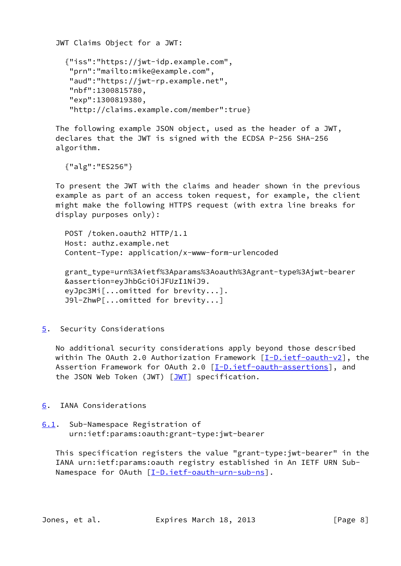JWT Claims Object for a JWT: {"iss":"https://jwt-idp.example.com", "prn":"mailto:mike@example.com", "aud":"https://jwt-rp.example.net", "nbf":1300815780, "exp":1300819380, "http://claims.example.com/member":true}

 The following example JSON object, used as the header of a JWT, declares that the JWT is signed with the ECDSA P-256 SHA-256 algorithm.

{"alg":"ES256"}

 To present the JWT with the claims and header shown in the previous example as part of an access token request, for example, the client might make the following HTTPS request (with extra line breaks for display purposes only):

 POST /token.oauth2 HTTP/1.1 Host: authz.example.net Content-Type: application/x-www-form-urlencoded

 grant\_type=urn%3Aietf%3Aparams%3Aoauth%3Agrant-type%3Ajwt-bearer &assertion=eyJhbGciOiJFUzI1NiJ9. eyJpc3Mi[...omitted for brevity...]. J9l-ZhwP[...omitted for brevity...]

<span id="page-8-0"></span>[5](#page-8-0). Security Considerations

 No additional security considerations apply beyond those described within The OAuth 2.0 Authorization Framework  $[I-D.iet f- oauth-v2]$ , the Assertion Framework for OAuth 2.0 [[I-D.ietf-oauth-assertions\]](#page-9-4), and the JSON Web Token (JWT) [\[JWT](#page-10-4)] specification.

- <span id="page-8-1"></span>[6](#page-8-1). IANA Considerations
- <span id="page-8-2"></span>[6.1](#page-8-2). Sub-Namespace Registration of urn:ietf:params:oauth:grant-type:jwt-bearer

 This specification registers the value "grant-type:jwt-bearer" in the IANA urn:ietf:params:oauth registry established in An IETF URN Sub- Namespace for OAuth [\[I-D.ietf-oauth-urn-sub-ns](#page-9-5)].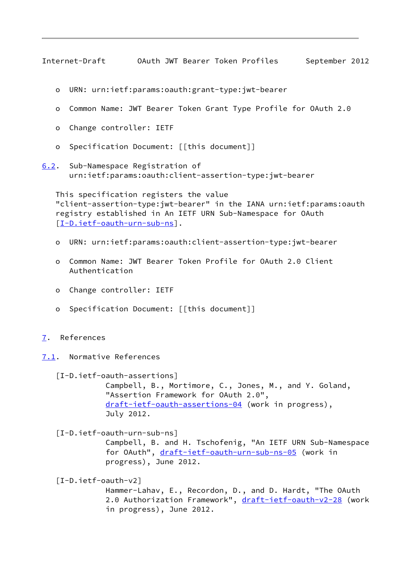<span id="page-9-0"></span>Internet-Draft OAuth JWT Bearer Token Profiles September 2012

- o URN: urn:ietf:params:oauth:grant-type:jwt-bearer
- o Common Name: JWT Bearer Token Grant Type Profile for OAuth 2.0
- o Change controller: IETF
- o Specification Document: [[this document]]
- <span id="page-9-6"></span>[6.2](#page-9-6). Sub-Namespace Registration of urn:ietf:params:oauth:client-assertion-type:jwt-bearer

 This specification registers the value "client-assertion-type:jwt-bearer" in the IANA urn:ietf:params:oauth registry established in An IETF URN Sub-Namespace for OAuth [\[I-D.ietf-oauth-urn-sub-ns](#page-9-5)].

- o URN: urn:ietf:params:oauth:client-assertion-type:jwt-bearer
- o Common Name: JWT Bearer Token Profile for OAuth 2.0 Client Authentication
- o Change controller: IETF
- o Specification Document: [[this document]]
- <span id="page-9-1"></span>[7](#page-9-1). References
- <span id="page-9-2"></span>[7.1](#page-9-2). Normative References

<span id="page-9-4"></span> [I-D.ietf-oauth-assertions] Campbell, B., Mortimore, C., Jones, M., and Y. Goland, "Assertion Framework for OAuth 2.0", [draft-ietf-oauth-assertions-04](https://datatracker.ietf.org/doc/pdf/draft-ietf-oauth-assertions-04) (work in progress), July 2012.

<span id="page-9-5"></span>[I-D.ietf-oauth-urn-sub-ns]

 Campbell, B. and H. Tschofenig, "An IETF URN Sub-Namespace for OAuth", [draft-ietf-oauth-urn-sub-ns-05](https://datatracker.ietf.org/doc/pdf/draft-ietf-oauth-urn-sub-ns-05) (work in progress), June 2012.

<span id="page-9-3"></span>[I-D.ietf-oauth-v2]

 Hammer-Lahav, E., Recordon, D., and D. Hardt, "The OAuth 2.0 Authorization Framework", [draft-ietf-oauth-v2-28](https://datatracker.ietf.org/doc/pdf/draft-ietf-oauth-v2-28) (work in progress), June 2012.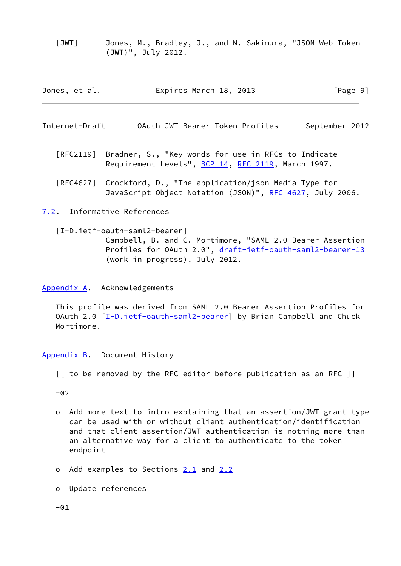<span id="page-10-4"></span> [JWT] Jones, M., Bradley, J., and N. Sakimura, "JSON Web Token (JWT)", July 2012.

| Jones, et al. | Expires March 18, 2013 | [Page 9] |
|---------------|------------------------|----------|
|---------------|------------------------|----------|

<span id="page-10-1"></span>Internet-Draft OAuth JWT Bearer Token Profiles September 2012

- [RFC2119] Bradner, S., "Key words for use in RFCs to Indicate Requirement Levels", [BCP 14](https://datatracker.ietf.org/doc/pdf/bcp14), [RFC 2119](https://datatracker.ietf.org/doc/pdf/rfc2119), March 1997.
- [RFC4627] Crockford, D., "The application/json Media Type for JavaScript Object Notation (JSON)", [RFC 4627,](https://datatracker.ietf.org/doc/pdf/rfc4627) July 2006.

<span id="page-10-0"></span>[7.2](#page-10-0). Informative References

<span id="page-10-5"></span> [I-D.ietf-oauth-saml2-bearer] Campbell, B. and C. Mortimore, "SAML 2.0 Bearer Assertion Profiles for OAuth 2.0", [draft-ietf-oauth-saml2-bearer-13](https://datatracker.ietf.org/doc/pdf/draft-ietf-oauth-saml2-bearer-13) (work in progress), July 2012.

<span id="page-10-2"></span>[Appendix A.](#page-10-2) Acknowledgements

 This profile was derived from SAML 2.0 Bearer Assertion Profiles for OAuth 2.0 [[I-D.ietf-oauth-saml2-bearer](#page-10-5)] by Brian Campbell and Chuck Mortimore.

<span id="page-10-3"></span>[Appendix B.](#page-10-3) Document History

[[ to be removed by the RFC editor before publication as an RFC ]]

 $-02$ 

- o Add more text to intro explaining that an assertion/JWT grant type can be used with or without client authentication/identification and that client assertion/JWT authentication is nothing more than an alternative way for a client to authenticate to the token endpoint
- o Add examples to Sections [2.1](#page-4-0) and [2.2](#page-4-1)
- o Update references

 $-01$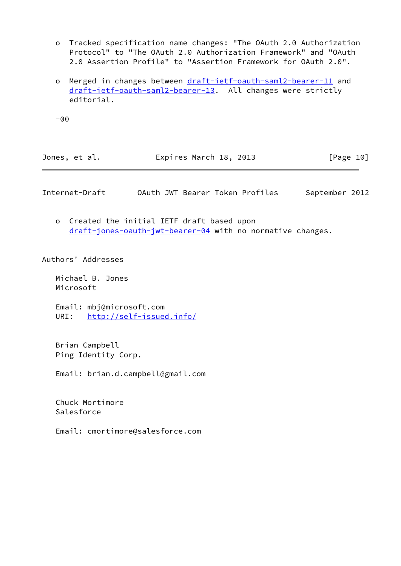- o Tracked specification name changes: "The OAuth 2.0 Authorization Protocol" to "The OAuth 2.0 Authorization Framework" and "OAuth 2.0 Assertion Profile" to "Assertion Framework for OAuth 2.0".
- o Merged in changes between [draft-ietf-oauth-saml2-bearer-11](https://datatracker.ietf.org/doc/pdf/draft-ietf-oauth-saml2-bearer-11) and [draft-ietf-oauth-saml2-bearer-13.](https://datatracker.ietf.org/doc/pdf/draft-ietf-oauth-saml2-bearer-13) All changes were strictly editorial.

-00

| Expires March 18, 2013<br>Jones, et al. | [Page 10] |
|-----------------------------------------|-----------|
|-----------------------------------------|-----------|

<span id="page-11-0"></span>Internet-Draft OAuth JWT Bearer Token Profiles September 2012

 o Created the initial IETF draft based upon [draft-jones-oauth-jwt-bearer-04](https://datatracker.ietf.org/doc/pdf/draft-jones-oauth-jwt-bearer-04) with no normative changes.

Authors' Addresses

 Michael B. Jones Microsoft

 Email: mbj@microsoft.com URI: <http://self-issued.info/>

 Brian Campbell Ping Identity Corp.

Email: brian.d.campbell@gmail.com

 Chuck Mortimore Salesforce

Email: cmortimore@salesforce.com